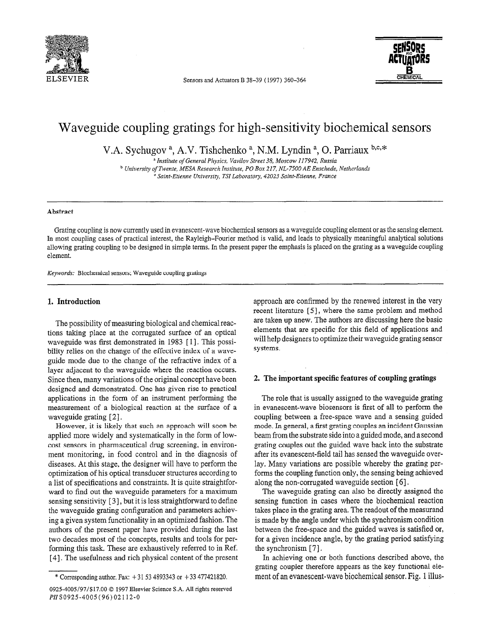

ELSEVIER Sensors and Actuators B 38-39 (1997) 360-364



# Waveguide coupling gratings for high-sensitivity biochemical sensors

V.A. Sychugov<sup>a</sup>, A.V. Tishchenko<sup>a</sup>, N.M. Lyndin<sup>a</sup>, O. Parriaux b,c,\*

a Institute of General Physics, Vavilov Street 38, Moscow 117942, Russia b Universiry of Twente, MESA Research Institute, PO Box 217, NL-7500 AE Enschede, Netherlands <sup>o</sup> Saint-Etienne University, TSI Laboratory, 42023 Saint-Etienne, France

#### Abstract

Grating coupling is now currently used in evanescent-wave biochemical sensors as a waveguide coupling element or as the sensing element. In most coupling cases of practical interest, the Rayleigh-Fourier method is valid, and leads to physically meaningful analytical solutions allowing grating coupling to be designed in simple terms. In the present paper the emphasis is placed on the grating as a waveguide coupling element.

Keywords: Biochemical sensors; Waveguide coupling gratings

#### 1. Introduction

The possibility of measuring biological and chemical reactions taking place at the corrugated surface of an optical waveguide was first demonstrated in 1983 [ I]. This possibility relies on the change of the effective index of a waveguide mode due to the change of the refractive index of a layer adjacent to the waveguide where the reaction occurs. Since then, many variations of the original concept have been designed and demonstrated. One has given rise to practical applications in the form of an instrument performing the measurement of a biological reaction at the surface of a waveguide grating [2].

However, it is likely that such an approach will soon be applied more widely and systematically in the form of lowcost sensors in pharmaceutical drug screening, in environment monitoring, in food control and in the diagnosis of diseases. At this stage, the designer will have to perform the optimization of his optical transducer structures according to a list of specifications and constraints. It is quite straightforward to find out the waveguide parameters for a maximum sensing sensitivity [3], but it is less straightforward to define the waveguide grating configuration and parameters achieving a given system functionality in an optimized fashion. The authors of the present paper have provided during the last authors of the present paper have provided during the last two decades most of the concepts, results and tools for per $f(x)$  decades most of the concepts, results and tools for perfulning this task. These are exhaustively referred to the per-

approach are confirmed by the renewed interest in the very recent literature [5], where the same problem and method are taken up anew. The authors are discussing here the basic elements that are specific for this field of applications and will help designers to optimize their waveguide grating sensor systems.

#### 2. The important specific features of coupling gratings

The role that is usually assigned to the waveguide grating in evanescent-wave biosensors is first of all to perform the coupling between a free-space wave and a sensing guided mode. In general, a fist grating couples an incident Gaussian beam from the substrate side into a guided mode, and a second grating couples out the guided 'wave back into the substrate after its evanescent-field tail has sensed the waveguide overlay. Many variations are possible whereby the grating performs the coupling function only, the sensing being achieved along the non-corrugated waveguide section [ 61.

The waveguide grating can also be directly assigned the sensing function in cases where the biochemical reaction takes place in the grating area. The readout of the measurand is made by the angle under which the synchronism condition between the free-space and the guided waves is satisfied or, for a given incidence angle, by the grating period satisfying the synchronism [ 71.

In achieving one or both functions described above, the grating coupler therefore appears as the key functional element of an evanescent-wave biochemical sensor. Fig. 1 illus-

<sup>\*</sup> Corresponding author. Fax: + 3 153 4893343 or + 33 477421820.

ا <sub>ا</sub> این د او د او د د او د عون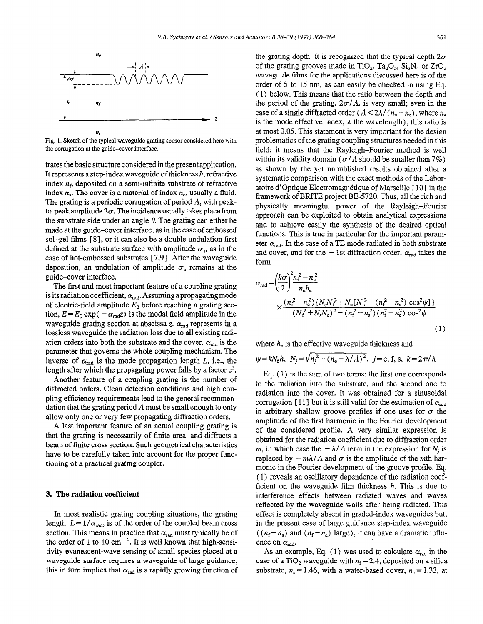

Fig. 1. Sketch of the typical waveguide grating sensor considered here with the corrugation at the guide-cover interface.

trates the basic structure considered in the present application. It represents a step-index waveguide of thickness  $h$ , refractive index  $n_f$ , deposited on a semi-infinite substrate of refractive index  $n_s$ . The cover is a material of index  $n_c$ , usually a fluid. The grating is a periodic corrugation of period  $\Lambda$ , with peakto-peak amplitude  $2\sigma$ . The incidence usually takes place from the substrate side under an angle  $\theta$ . The grating can either be made at the guide-cover interface, as in the case of embossed sol-gel films [ 81, or it can also be a double undulation first defined at the substrate surface with amplitude  $\sigma_s$ , as in the case of hot-embossed substrates [7,9], After the waveguide deposition, an undulation of amplitude  $\sigma_c$  remains at the guide-cover interface.

The first and most important feature of a coupling grating is its radiation coefficient,  $\alpha_{rad}$ . Assuming a propagating mode of electric-field amplitude  $E_0$  before reaching a grating section,  $E = E_0 \exp(-\alpha_{\text{rad}}z)$  is the modal field amplitude in the waveguide grating section at abscissa z.  $\alpha_{rad}$  represents in a lossless waveguide the radiation loss due to all existing radiation orders into both the substrate and the cover.  $\alpha_{rad}$  is the parameter that governs the whole coupling mechanism. The inverse of  $\alpha_{rad}$  is the mode propagation length L, i.e., the length after which the propagating power falls by a factor  $e^2$ .

Another feature of a coupling grating is the number of diffracted orders. Clean detection conditions and high coupling efficiency requirements lead to the general recommendation that the grating period  $\Lambda$  must be small enough to only allow only one or very few propagating diffraction orders.

A last important feature of an actual coupling grating is that the grating is necessarily of finite area, and diffracts a beam of finite cross section. Such geometrical characteristics have to be carefully taken into account for the proper functioning of a practical grating coupler.

### 3. The radiation coefficient

In most realistic grating coupling situations, the grating length,  $L = 1/\alpha_{rad}$ , is of the order of the coupled beam cross section. This means in practice that  $\alpha_{rad}$  must typically be of the order of 1 to 10  $cm^{-1}$ . It is well known that high-sensitivity evanescent-wave sensing of small species placed at a waveguide surface requires a waveguide of large guidance; this in turn implies that  $\alpha_{rad}$  is a rapidly growing function of

the grating depth. It is recognized that the typical depth  $2\sigma$ of the grating grooves made in TiO<sub>2</sub>, Ta<sub>2</sub>O<sub>5</sub>, Si<sub>3</sub>N<sub>4</sub> or ZrO<sub>2</sub> waveguide films for the applications discussed here is of the order of 5 to 15 nm, as can easily be checked in using Eq. (1) below. This means that the ratio between the depth and the period of the grating,  $2\sigma/A$ , is very small; even in the case of a single diffracted order  $(A < 2\lambda/(n_e + n_s))$ , where  $n_e$ is the mode effective index,  $\lambda$  the wavelength), this ratio is at most 0.05. This statement is very important for the design problematics of the grating coupling structures needed in this field: it means that the Rayleigh-Fourier method is well within its validity domain ( $\sigma/\Lambda$  should be smaller than 7%) as shown by the yet unpublished results obtained after a systematic comparison with the exact methods of the Laboratoire d'optique Electromagnetique of Marseille [ lo] in the framework of BRITE project BE-5720. Thus, all the rich and physically meaningful power of the Rayleigh-Fourier approach can be exploited to obtain analytical expressions and to achieve easily the synthesis of the desired optical functions. This is true in particular for the important parameter  $\alpha_{rad}$ . In the case of a TE mode radiated in both substrate and cover, and for the  $-1$ st diffraction order,  $\alpha_{rad}$  takes the form

$$
\alpha_{\rm rad} = \left(\frac{k\sigma}{2}\right)^2 \frac{n_{\rm f}^2 - n_{\rm c}^2}{n_{\rm e}h_{\rm e}}\n\times \frac{(n_{\rm f}^2 - n_{\rm c}^2)(N_{\rm s}N_{\rm f}^2 + N_{\rm c}[N_{\rm s}^2 + (n_{\rm f}^2 - n_{\rm s}^2)\cos^2\psi]}{(N_{\rm f}^2 + N_{\rm s}N_{\rm c})^2 - (n_{\rm f}^2 - n_{\rm s}^2)(n_{\rm f}^2 - n_{\rm c}^2)\cos^2\psi}\n\t\t\t\t\t(1)
$$

where  $h_e$  is the effective waveguide thickness and

$$
\psi = kN_{\rm f}h
$$
,  $N_j = \sqrt{n_j^2 - (n_{\rm e} - \lambda/\Lambda)^2}$ ,  $j = c$ , f, s,  $k = 2\pi/\lambda$ 

Eq. ( 1) is the sum of two terms: the first one corresponds to the radiation into the substrate, and the second one to radiation into the cover. It was obtained for a sinusoidal corrugation [11] but it is still valid for the estimation of  $\alpha_{rad}$ in arbitrary shallow groove profiles if one uses for  $\sigma$  the amplitude of the first harmonic in the Fourier development of the considered profile. A very similar expression is obtained for the radiation coefficient due to diffraction order m, in which case the  $-\lambda/\Lambda$  term in the expression for N<sub>i</sub> is replaced by  $+m\lambda/\Lambda$  and  $\sigma$  is the amplitude of the *m*th harmonic in the Fourier development of the groove profile. Eq. ( 1) reveals an oscillatory dependence of the radiation coefficient on the waveguide film thickness  $h$ . This is due to interference effects between radiated waves and waves reflected by the waveguide walls after being radiated. This effect is completely absent in graded-index waveguides but, in the present case of large guidance step-index waveguide  $((n_f - n_s)$  and  $(n_f - n_c)$  large), it can have a dramatic influence on  $\alpha_{\text{rad}}$ .

As an example, Eq. (1) was used to calculate  $\alpha_{rad}$  in the case of a TiO<sub>2</sub> waveguide with  $n_f = 2.4$ , deposited on a silica substrate,  $n_s = 1.46$ , with a water-based cover,  $n_c = 1.33$ , at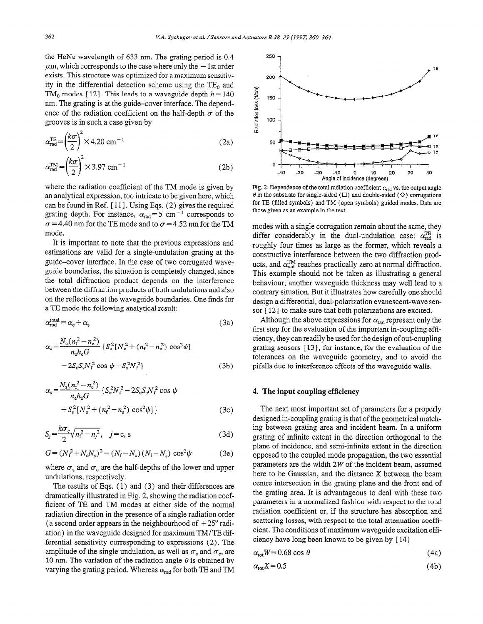the HeNe wavelength of 633 nm. The grating period is 0.4  $\mu$ m, which corresponds to the case where only the  $-1$ st order exists. This structure was optimized for a maximum sensitivity in the differential detection scheme using the  $TE_0$  and TM<sub>0</sub> modes [12]. This leads to a waveguide depth  $h = 140$ nm. The grating is at the guide-cover interface. The dependence of the radiation coefficient on the half-depth  $\sigma$  of the grooves is in such a case given by

$$
\alpha_{\text{rad}}^{\text{TE}} = \left(\frac{k\sigma}{2}\right)^2 \times 4.20 \text{ cm}^{-1} \tag{2a}
$$

$$
\alpha_{\text{rad}}^{\text{TM}} = \left(\frac{k\sigma}{2}\right)^2 \times 3.97 \text{ cm}^{-1} \tag{2b}
$$

where the radiation coefficient of the TM mode is given by an analytical expression, too intricate to be given here, which can be found in Ref.  $[11]$ . Using Eqs.  $(2)$  gives the required grating depth. For instance,  $\alpha_{rad} = 5 \text{ cm}^{-1}$  corresponds to  $\sigma$  = 4.40 nm for the TE mode and to  $\sigma$  = 4.52 nm for the TM mode.

It is important to note that the previous expressions and estimations are valid for a single-undulation grating at the guide-cover interface. In the case of two corrugated waveguide boundaries, the situation is completely changed, since the total diffraction product depends on the interference between the diffraction products of both undulations and also on the reflections at the waveguide boundaries. One finds for a TE mode the following analytical result:

$$
\alpha_{\rm rad}^{\rm total} = \alpha_{\rm c} + \alpha_{\rm s} \tag{3a}
$$

$$
\alpha_{\rm c} = \frac{N_{\rm c}(n_{\rm f}^2 - n_{\rm e}^2)}{n_{\rm e}h_{\rm e}G} \left\{ S_{\rm c}^2 \left[ N_{\rm c}^2 + (n_{\rm f}^2 - n_{\rm c}^2) \cos^2 \psi \right] - 2S_{\rm c}S_{\rm s}N_{\rm f}^2 \cos \psi + S_{\rm s}^2 N_{\rm f}^2 \right\} \tag{3b}
$$

$$
\alpha_{s} = \frac{N_{s}(n_{f}^{2} - n_{e}^{2})}{n_{e}h_{e}G} \left\{ S_{c}^{2}N_{f}^{2} - 2S_{c}S_{s}N_{f}^{2} \cos \psi + S_{s}^{2}[N_{s}^{2} + (n_{f}^{2} - n_{s}^{2}) \cos^{2} \psi] \right\}
$$
(3c)

$$
S_j = \frac{k\sigma_c}{2} \sqrt{n_f^2 - n_j^2}, \quad j = c, s \tag{3d}
$$

$$
G = (N_f^2 + N_c N_s)^2 - (N_f - N_c)(N_f - N_s) \cos^2 \psi
$$
 (3e)

where  $\sigma_s$  and  $\sigma_c$  are the half-depths of the lower and upper undulations, respectively.

The results of Eqs. ( 1) and (3) and their differences are dramatically illustrated in Fig. 2, showing the radiation coefficient of TE and TM modes at either side of the normal radiation direction in the presence of a single radiation order (a second order appears in the neighbourhood of  $+25^{\circ}$  radiation) in the waveguide designed for maximum TM/TE differential sensitivity corresponding to expressions (2). The amplitude of the single undulation, as well as  $\sigma_s$  and  $\sigma_c$ , are 10 nm. The variation of the radiation angle  $\theta$  is obtained by varying the grating period. Whereas  $\alpha_{rad}$  for both TE and TM



Fig. 2. Dependence of the total radiation coefficient  $\alpha_{rad}$  vs. the output angle  $\theta$  in the substrate for single-sided ( $\Box$ ) and double-sided ( $\diamond$ ) corrugations for TE (filled symbols) and TM (open symbols) guided modes. Data are those given as an example in the text,

modes with a single corrugation remain about the same, they differ considerably in the dual-undulation case:  $\alpha_{\text{rad}}^{\text{TE}}$  is roughly four times as large as the former, which reveals a constructive interference between the two diffraction products, and  $\alpha_{\text{rad}}^{\text{TM}}$  reaches practically zero at normal diffraction. This example should not be taken as illustrating a general behaviour; another waveguide thickness may well lead to a contrary situation. But it illustrates how carefully one should design a differential, dual-polarization evanescent-wave sensor [12] to make sure that both polarizations are excited.

Although the above expressions for  $\alpha_{\text{rad}}$  represent only the first step for the evaluation of the important in-coupling efficiency, they can readily be used for the design of out-coupling grating sensors [ 131, for instance, for the evaluation of the tolerances on the waveguide geometry, and to avoid the pifalls due to interference effects of the waveguide walls.

#### 4. The input coupling efficiency

The next most important set of parameters for a properly designed in-coupling grating is that of the geometrical matching between grating area and incident beam. In a uniform grating of infinite extent in the direction orthogonal to the plane of incidence, and semi-infinite extent in the direction opposed to the coupled mode propagation, the two essential parameters are the width 2W of the incident beam, assumed here to be Gaussian, and the distance X between the beam centre intersection in the grating plane and the front end of the grating area. It is advantageous to deal with these two parameters in a normalized fashion with respect to the total radiation coefficient or, if the structure has absorption and scattering losses, with respect to the total attenuation coefficient. The conditions of maximum waveguide excitation efficiency have long been known to be given by [ 141

$$
\alpha_{\rm tot} W = 0.68 \cos \theta \tag{4a}
$$

$$
\alpha_{\text{tot}} X = 0.5 \tag{4b}
$$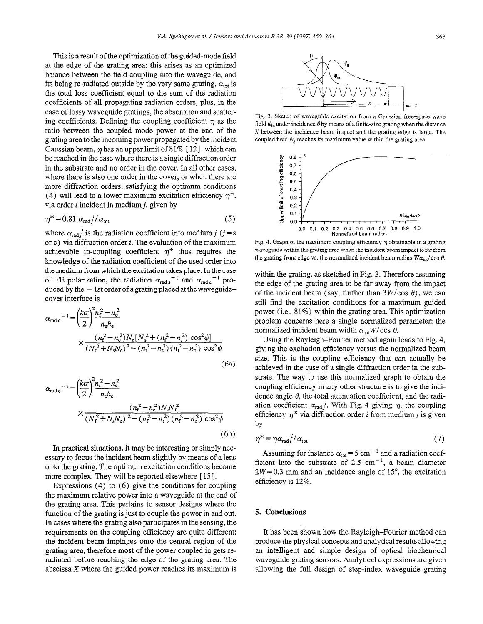This is a result of the optimization of the guided-mode field at the edge of the grating area: this arises as an optimized balance between the field coupling into the waveguide, and its being re-radiated outside by the very same grating.  $\alpha_{\text{tot}}$  is the total loss coefficient equal to the sum of the radiation coefficients of all propagating radiation orders, plus, in the case of lossy waveguide gratings, the absorption and scattering coefficients. Defining the coupling coefficient  $\eta$  as the ratio between the coupled mode power at the end of the grating area to the incoming power propagated by the incident Gaussian beam,  $\eta$  has an upper limit of 81% [12], which can be reached in the case where there is a single diffraction order in the substrate and no order in the cover. In all other cases, where there is also one order in the cover, or when there are more diffraction orders, satisfying the optimum conditions (4) will lead to a lower maximum excitation efficiency  $\eta^*$ , via order *i* incident in medium *j*, given by

$$
\eta^* = 0.81 \ \alpha_{\text{rad}} / \alpha_{\text{tot}} \tag{5}
$$

where  $\alpha_{\text{rad}} i$  is the radiation coefficient into medium j (j = s or c) via diffraction order  $i$ . The evaluation of the maximum achievable in-coupling coefficient  $\eta^*$  thus requires the knowledge of the radiation coefficient of the used order into the medium from which the excitation takes place. In the case of TE polarization, the radiation  $\alpha_{\text{rad s}}^{-1}$  and  $\alpha_{\text{rad c}}^{-1}$  produced by the  $-1$ st order of a grating placed at the waveguidecover interface is

$$
\alpha_{\text{rad c}}^{-1} = \left(\frac{k\sigma}{2}\right)^2 \frac{n_{\text{f}}^2 - n_{\text{e}}^2}{n_{\text{e}}h_{\text{c}}}
$$
  
 
$$
\times \frac{(n_{\text{f}}^2 - n_{\text{e}}^2)N_{\text{e}}[N_{\text{s}}^2 + (n_{\text{f}}^2 - n_{\text{s}}^2)\cos^2\psi]}{(N_{\text{f}}^2 + N_{\text{s}}N_{\text{e}})^2 - (n_{\text{f}}^2 - n_{\text{s}}^2)(n_{\text{f}}^2 - n_{\text{e}}^2)\cos^2\psi}
$$
(6a)

$$
\alpha_{\text{rad s}}^{-1} = \left(\frac{k\sigma}{2}\right)^2 \frac{n_f^2 - n_o^2}{n_e h_e} \times \frac{(n_f^2 - n_o^2) N_s N_f^2}{\left(N_f^2 + N_s N_c\right)^2 - \left(n_f^2 - n_s^2\right) \left(n_f^2 - n_c^2\right) \cos^2 \psi}
$$
\n(6b)

In practical situations, it may be interesting or simply necessary to focus the incident beam slightly by means of a lens onto the grating. The optimum excitation conditions become more complex. They will be reported elsewhere  $[15]$ .

Expressions (4) to (6) give the conditions for coupling the maximum relative power into a waveguide at the end of the grating area. This pertains to sensor designs where the function of the grating is just to couple the power in and out. In cases where the grating also participates in the sensing, the requirements on the coupling efficiency are quite different: the incident beam impinges onto the central region of the grating area, therefore most of the power coupled in gets reradiated before reaching the edge of the grating area. The abscissa  $X$  where the guided power reaches its maximum is



Fig. 3. Sketch of waveguide excitation from a Gaussian free-space wave field  $\psi_{\rm in}$  under incidence  $\theta$  by means of a finite-size grating when the distance X between the incidence beam impact and the grating edge is large. The coupled field  $\psi_{\rm g}$  reaches its maximum value within the grating area.



Fig. 4. Graph of the maximum coupling efficiency  $\eta$  obtainable in a grating waveguide within the grating area when the incident beam impact is far from the grating front edge vs. the normalized incident beam radius  $W\alpha_{\text{tot}}/\cos\theta$ .

within the grating, as sketched in Fig. 3. Therefore assuming the edge of the grating area to be far away from the impact of the incident beam (say, further than  $3W/cos \theta$ ), we can still find the excitation conditions for a maximum guided power (i.e., 81%) within the grating area. This optimization problem concerns here a single normalized parameter: the normalized incident beam width  $\alpha_{\text{tot}}W/\cos \theta$ .

Using the Rayleigh-Fourier method again leads to Fig. 4, giving the excitation efficiency versus the normalized beam size. This is the coupling efficiency that can actually be achieved in the case of a single diffraction order in the substrate. The way to use this normalized graph to obtain the coupling efficiency in any other structure is to give the incidence angle  $\theta$ , the total attenuation coefficient, and the radiation coefficient  $\alpha_{\text{rad}i}$ . With Fig. 4 giving  $\eta$ , the coupling efficiency  $\eta^*$  via diffraction order *i* from medium *j* is given by

$$
\eta^* = \eta \alpha_{\text{rad}}^i / \alpha_{\text{tot}} \tag{7}
$$

Assuming for instance  $\alpha_{\text{tot}} = 5 \text{ cm}^{-1}$  and a radiation coefficient into the substrate of 2.5 cm<sup>-1</sup>, a beam diameter  $2W=0.3$  mm and an incidence angle of 15°, the excitation efficiency is 12%.

## 5. Conclusions

It has been shown how the Rayleigh-Fourier method can produce the physical concepts and analytical results allowing an intelligent and simple design of optical biochemical waveguide grating sensors. Analytical expressions are given allowing the full design of step-index waveguide grating